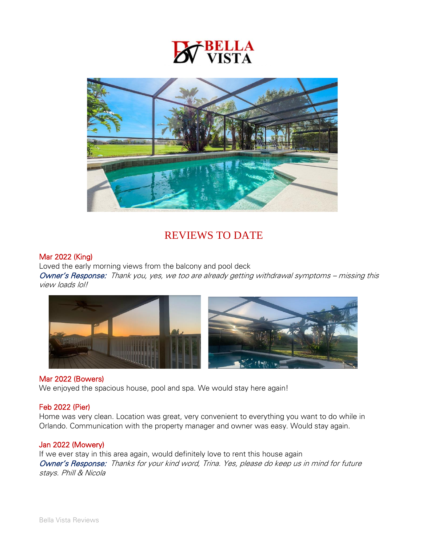



# REVIEWS TO DATE

## Mar 2022 (King)

Loved the early morning views from the balcony and pool deck

Owner's Response: Thank you, yes, we too are already getting withdrawal symptoms – missing this view loads lol!



#### Mar 2022 (Bowers)

We enjoyed the spacious house, pool and spa. We would stay here again!

## Feb 2022 (Pier)

Home was very clean. Location was great, very convenient to everything you want to do while in Orlando. Communication with the property manager and owner was easy. Would stay again.

#### Jan 2022 (Mowery)

If we ever stay in this area again, would definitely love to rent this house again Owner's Response: Thanks for your kind word, Trina. Yes, please do keep us in mind for future stays. Phill & Nicola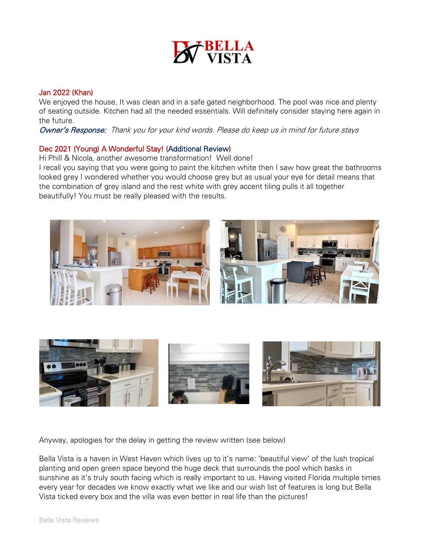

## Jan 2022 (Khan)

We enjoyed the house, It was clean and in a safe gated neighborhood. The pool was nice and plenty of seating outside. Kitchen had all the needed essentials. Will definitely consider staying here again in the future.

Owner's Response: Thank you for your kind words. Please do keep us in mind for future stays

#### Dec 2021 (Young) A Wonderful Stay! (Additional Review)

Hi Phill & Nicola, another awesome transformation! Well done!

I recall you saying that you were going to paint the kitchen white then I saw how great the bathrooms looked grey I wondered whether you would choose grey but as usual your eye for detail means that the combination of grey island and the rest white with grey accent tiling pulls it all together beautifully! You must be really pleased with the results.





Anyway, apologies for the delay in getting the review written (see below)

Bella Vista is a haven in West Haven which lives up to it's name: 'beautiful view' of the lush tropical planting and open green space beyond the huge deck that surrounds the pool which basks in sunshine as it's truly south facing which is really important to us. Having visited Florida multiple times every year for decades we know exactly what we like and our wish list of features is long but Bella Vista ticked every box and the villa was even better in real life than the pictures!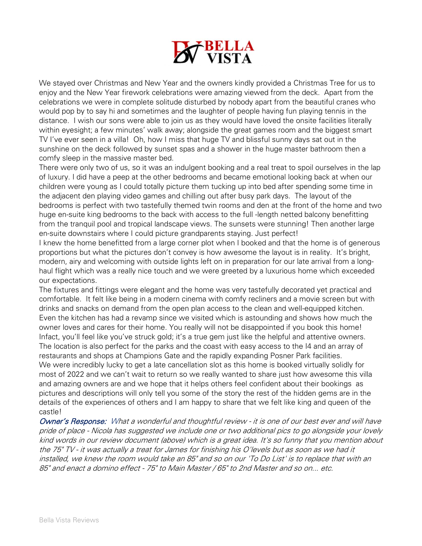

We stayed over Christmas and New Year and the owners kindly provided a Christmas Tree for us to enjoy and the New Year firework celebrations were amazing viewed from the deck. Apart from the celebrations we were in complete solitude disturbed by nobody apart from the beautiful cranes who would pop by to say hi and sometimes and the laughter of people having fun playing tennis in the distance. I wish our sons were able to join us as they would have loved the onsite facilities literally within eyesight; a few minutes' walk away; alongside the great games room and the biggest smart TV I've ever seen in a villa! Oh, how I miss that huge TV and blissful sunny days sat out in the sunshine on the deck followed by sunset spas and a shower in the huge master bathroom then a comfy sleep in the massive master bed.

There were only two of us, so it was an indulgent booking and a real treat to spoil ourselves in the lap of luxury. I did have a peep at the other bedrooms and became emotional looking back at when our children were young as I could totally picture them tucking up into bed after spending some time in the adjacent den playing video games and chilling out after busy park days. The layout of the bedrooms is perfect with two tastefully themed twin rooms and den at the front of the home and two huge en-suite king bedrooms to the back with access to the full -length netted balcony benefitting from the tranquil pool and tropical landscape views. The sunsets were stunning! Then another large en-suite downstairs where I could picture grandparents staying. Just perfect!

I knew the home benefitted from a large corner plot when I booked and that the home is of generous proportions but what the pictures don't convey is how awesome the layout is in reality. It's bright, modern, airy and welcoming with outside lights left on in preparation for our late arrival from a longhaul flight which was a really nice touch and we were greeted by a luxurious home which exceeded our expectations.

The fixtures and fittings were elegant and the home was very tastefully decorated yet practical and comfortable. It felt like being in a modern cinema with comfy recliners and a movie screen but with drinks and snacks on demand from the open plan access to the clean and well-equipped kitchen. Even the kitchen has had a revamp since we visited which is astounding and shows how much the owner loves and cares for their home. You really will not be disappointed if you book this home! Infact, you'll feel like you've struck gold; it's a true gem just like the helpful and attentive owners. The location is also perfect for the parks and the coast with easy access to the I4 and an array of restaurants and shops at Champions Gate and the rapidly expanding Posner Park facilities. We were incredibly lucky to get a late cancellation slot as this home is booked virtually solidly for most of 2022 and we can't wait to return so we really wanted to share just how awesome this villa and amazing owners are and we hope that it helps others feel confident about their bookings as pictures and descriptions will only tell you some of the story the rest of the hidden gems are in the details of the experiences of others and I am happy to share that we felt like king and queen of the castle!

Owner's Response: What a wonderful and thoughtful review - it is one of our best ever and will have pride of place - Nicola has suggested we include one or two additional pics to go alongside your lovely kind words in our review document (above) which is a great idea. It's so funny that you mention about the 75" TV - it was actually a treat for James for finishing his O'levels but as soon as we had it installed, we knew the room would take an 85" and so on our 'To Do List' is to replace that with an 85" and enact a domino effect - 75" to Main Master / 65" to 2nd Master and so on... etc.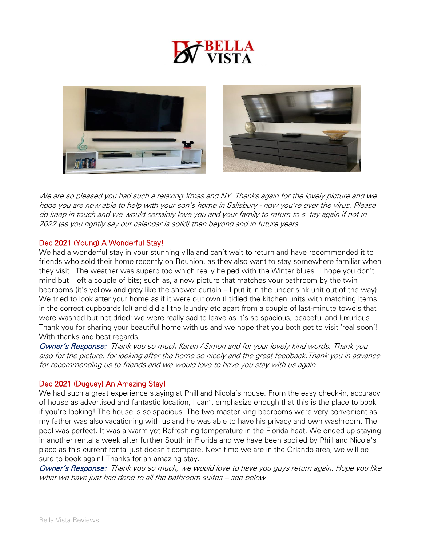

We are so pleased you had such a relaxing Xmas and NY. Thanks again for the lovely picture and we hope you are now able to help with your son's home in Salisbury - now you're over the virus. Please do keep in touch and we would certainly love you and your family to return to s tay again if not in 2022 (as you rightly say our calendar is solid) then beyond and in future years.

## Dec 2021 (Young) A Wonderful Stay!

We had a wonderful stay in your stunning villa and can't wait to return and have recommended it to friends who sold their home recently on Reunion, as they also want to stay somewhere familiar when they visit. The weather was superb too which really helped with the Winter blues! I hope you don't mind but I left a couple of bits; such as, a new picture that matches your bathroom by the twin bedrooms (it's yellow and grey like the shower curtain – I put it in the under sink unit out of the way). We tried to look after your home as if it were our own (I tidied the kitchen units with matching items in the correct cupboards lol) and did all the laundry etc apart from a couple of last-minute towels that were washed but not dried; we were really sad to leave as it's so spacious, peaceful and luxurious! Thank you for sharing your beautiful home with us and we hope that you both get to visit 'real soon'! With thanks and best regards,

Owner's Response: Thank you so much Karen / Simon and for your lovely kind words. Thank you also for the picture, for looking after the home so nicely and the great feedback.Thank you in advance for recommending us to friends and we would love to have you stay with us again

## Dec 2021 (Duguay) An Amazing Stay!

We had such a great experience staying at Phill and Nicola's house. From the easy check-in, accuracy of house as advertised and fantastic location, I can't emphasize enough that this is the place to book if you're looking! The house is so spacious. The two master king bedrooms were very convenient as my father was also vacationing with us and he was able to have his privacy and own washroom. The pool was perfect. It was a warm yet Refreshing temperature in the Florida heat. We ended up staying in another rental a week after further South in Florida and we have been spoiled by Phill and Nicola's place as this current rental just doesn't compare. Next time we are in the Orlando area, we will be sure to book again! Thanks for an amazing stay.

Owner's Response: Thank you so much, we would love to have you guys return again. Hope you like what we have just had done to all the bathroom suites - see below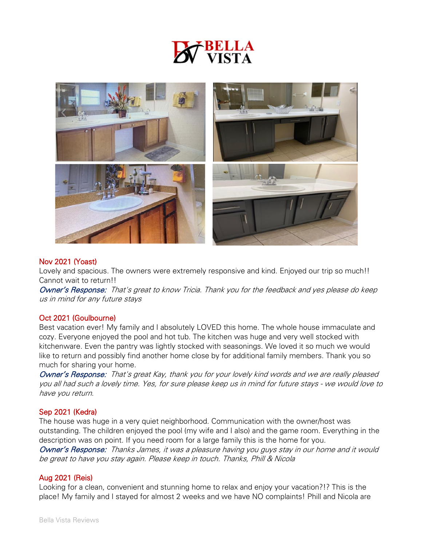



## Nov 2021 (Yoast)

Lovely and spacious. The owners were extremely responsive and kind. Enjoyed our trip so much!! Cannot wait to return!!

Owner's Response: That's great to know Tricia. Thank you for the feedback and yes please do keep us in mind for any future stays

#### Oct 2021 (Goulbourne)

Best vacation ever! My family and I absolutely LOVED this home. The whole house immaculate and cozy. Everyone enjoyed the pool and hot tub. The kitchen was huge and very well stocked with kitchenware. Even the pantry was lightly stocked with seasonings. We loved it so much we would like to return and possibly find another home close by for additional family members. Thank you so much for sharing your home.

Owner's Response: That's great Kay, thank you for your lovely kind words and we are really pleased you all had such a lovely time. Yes, for sure please keep us in mind for future stays - we would love to have you return.

## Sep 2021 (Kedra)

The house was huge in a very quiet neighborhood. Communication with the owner/host was outstanding. The children enjoyed the pool (my wife and I also) and the game room. Everything in the description was on point. If you need room for a large family this is the home for you.

Owner's Response: Thanks James, it was a pleasure having you guys stay in our home and it would be great to have you stay again. Please keep in touch. Thanks, Phill & Nicola

## Aug 2021 (Reis)

Looking for a clean, convenient and stunning home to relax and enjoy your vacation?!? This is the place! My family and I stayed for almost 2 weeks and we have NO complaints! Phill and Nicola are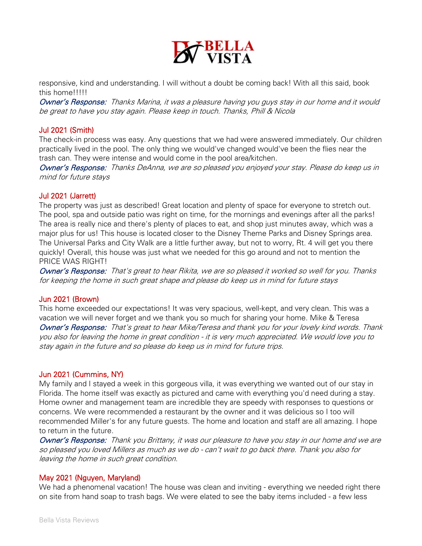

responsive, kind and understanding. I will without a doubt be coming back! With all this said, book this home!!!!!

Owner's Response: Thanks Marina, it was a pleasure having you guys stay in our home and it would be great to have you stay again. Please keep in touch. Thanks, Phill & Nicola

#### Jul 2021 (Smith)

The check-in process was easy. Any questions that we had were answered immediately. Our children practically lived in the pool. The only thing we would've changed would've been the flies near the trash can. They were intense and would come in the pool area/kitchen.

Owner's Response: Thanks DeAnna, we are so pleased you enjoyed your stay. Please do keep us in mind for future stays

#### Jul 2021 (Jarrett)

The property was just as described! Great location and plenty of space for everyone to stretch out. The pool, spa and outside patio was right on time, for the mornings and evenings after all the parks! The area is really nice and there's plenty of places to eat, and shop just minutes away, which was a major plus for us! This house is located closer to the Disney Theme Parks and Disney Springs area. The Universal Parks and City Walk are a little further away, but not to worry, Rt. 4 will get you there quickly! Overall, this house was just what we needed for this go around and not to mention the PRICE WAS RIGHT!

Owner's Response: That's great to hear Rikita, we are so pleased it worked so well for you. Thanks for keeping the home in such great shape and please do keep us in mind for future stays

#### Jun 2021 (Brown)

This home exceeded our expectations! It was very spacious, well-kept, and very clean. This was a vacation we will never forget and we thank you so much for sharing your home. Mike & Teresa Owner's Response: That's great to hear Mike/Teresa and thank you for your lovely kind words. Thank you also for leaving the home in great condition - it is very much appreciated. We would love you to stay again in the future and so please do keep us in mind for future trips.

## Jun 2021 (Cummins, NY)

My family and I stayed a week in this gorgeous villa, it was everything we wanted out of our stay in Florida. The home itself was exactly as pictured and came with everything you'd need during a stay. Home owner and management team are incredible they are speedy with responses to questions or concerns. We were recommended a restaurant by the owner and it was delicious so I too will recommended Miller's for any future guests. The home and location and staff are all amazing. I hope to return in the future.

Owner's Response: Thank you Brittany, it was our pleasure to have you stay in our home and we are so pleased you loved Millers as much as we do - can't wait to go back there. Thank you also for leaving the home in such great condition.

## May 2021 (Nguyen, Maryland)

We had a phenomenal vacation! The house was clean and inviting - everything we needed right there on site from hand soap to trash bags. We were elated to see the baby items included - a few less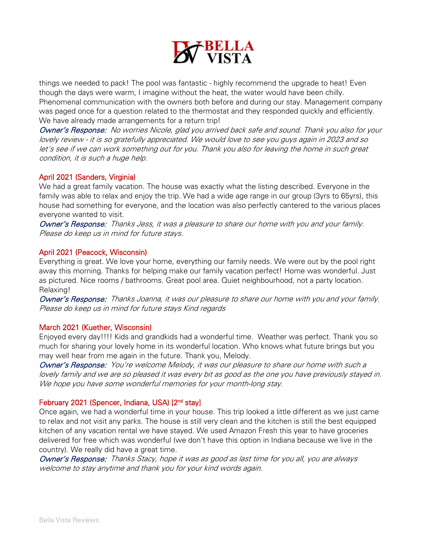

things we needed to pack! The pool was fantastic - highly recommend the upgrade to heat! Even though the days were warm, I imagine without the heat, the water would have been chilly. Phenomenal communication with the owners both before and during our stay. Management company was paged once for a question related to the thermostat and they responded quickly and efficiently. We have already made arrangements for a return trip!

Owner's Response: No worries Nicole, glad you arrived back safe and sound. Thank you also for your lovely review - it is so gratefully appreciated. We would love to see you guys again in 2023 and so let's see if we can work something out for you. Thank you also for leaving the home in such great condition, it is such a huge help.

## April 2021 (Sanders, Virginia)

We had a great family vacation. The house was exactly what the listing described. Everyone in the family was able to relax and enjoy the trip. We had a wide age range in our group (3yrs to 65yrs), this house had something for everyone, and the location was also perfectly cantered to the various places everyone wanted to visit.

Owner's Response: Thanks Jess, it was a pleasure to share our home with you and your family. Please do keep us in mind for future stays.

## April 2021 (Peacock, Wisconsin)

Everything is great. We love your home, everything our family needs. We were out by the pool right away this morning. Thanks for helping make our family vacation perfect! Home was wonderful. Just as pictured. Nice rooms / bathrooms. Great pool area. Quiet neighbourhood, not a party location. Relaxing!

Owner's Response: Thanks Joanna, it was our pleasure to share our home with you and your family. Please do keep us in mind for future stays Kind regards

## March 2021 (Kuether, Wisconsin)

Enjoyed every day!!!! Kids and grandkids had a wonderful time. Weather was perfect. Thank you so much for sharing your lovely home in its wonderful location. Who knows what future brings but you may well hear from me again in the future. Thank you, Melody.

Owner's Response: You're welcome Melody, it was our pleasure to share our home with such a lovely family and we are so pleased it was every bit as good as the one you have previously stayed in. We hope you have some wonderful memories for your month-long stay.

## February 2021 (Spencer, Indiana, USA) [2<sup>nd</sup> stay]

Once again, we had a wonderful time in your house. This trip looked a little different as we just came to relax and not visit any parks. The house is still very clean and the kitchen is still the best equipped kitchen of any vacation rental we have stayed. We used Amazon Fresh this year to have groceries delivered for free which was wonderful (we don't have this option in Indiana because we live in the country). We really did have a great time.

Owner's Response: Thanks Stacy, hope it was as good as last time for you all, you are always welcome to stay anytime and thank you for your kind words again.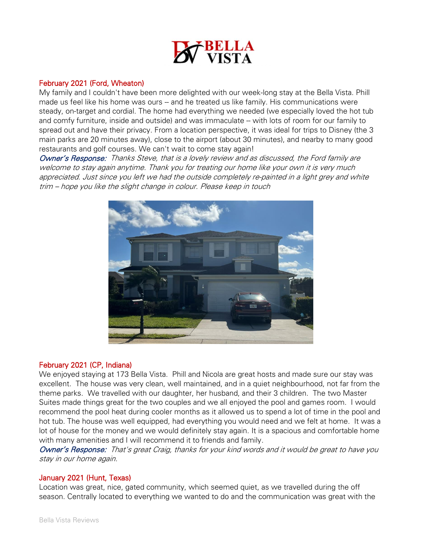

#### February 2021 (Ford, Wheaton)

My family and I couldn't have been more delighted with our week-long stay at the Bella Vista. Phill made us feel like his home was ours -- and he treated us like family. His communications were steady, on-target and cordial. The home had everything we needed (we especially loved the hot tub and comfy furniture, inside and outside) and was immaculate -- with lots of room for our family to spread out and have their privacy. From a location perspective, it was ideal for trips to Disney (the 3 main parks are 20 minutes away), close to the airport (about 30 minutes), and nearby to many good restaurants and golf courses. We can't wait to come stay again!

Owner's Response: Thanks Steve, that is a lovely review and as discussed, the Ford family are welcome to stay again anytime. Thank you for treating our home like your own it is very much appreciated. Just since you left we had the outside completely re-painted in a light grey and white trim – hope you like the slight change in colour. Please keep in touch



## February 2021 (CP, Indiana)

We enjoyed staying at 173 Bella Vista. Phill and Nicola are great hosts and made sure our stay was excellent. The house was very clean, well maintained, and in a quiet neighbourhood, not far from the theme parks. We travelled with our daughter, her husband, and their 3 children. The two Master Suites made things great for the two couples and we all enjoyed the pool and games room. I would recommend the pool heat during cooler months as it allowed us to spend a lot of time in the pool and hot tub. The house was well equipped, had everything you would need and we felt at home. It was a lot of house for the money and we would definitely stay again. It is a spacious and comfortable home with many amenities and I will recommend it to friends and family.

Owner's Response: That's great Craig, thanks for your kind words and it would be great to have you stay in our home again.

## January 2021 (Hunt, Texas)

Location was great, nice, gated community, which seemed quiet, as we travelled during the off season. Centrally located to everything we wanted to do and the communication was great with the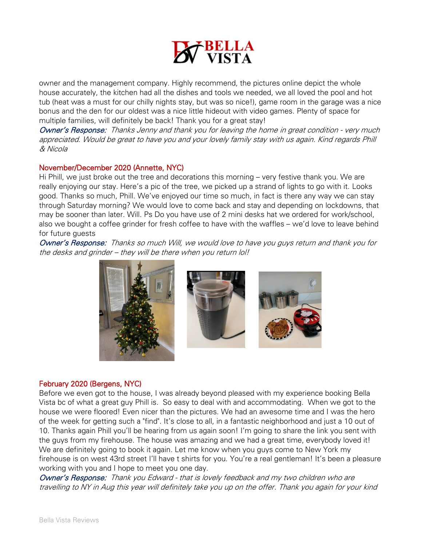

owner and the management company. Highly recommend, the pictures online depict the whole house accurately, the kitchen had all the dishes and tools we needed, we all loved the pool and hot tub (heat was a must for our chilly nights stay, but was so nice!), game room in the garage was a nice bonus and the den for our oldest was a nice little hideout with video games. Plenty of space for multiple families, will definitely be back! Thank you for a great stay!

Owner's Response: Thanks Jenny and thank you for leaving the home in great condition - very much appreciated. Would be great to have you and your lovely family stay with us again. Kind regards Phill & Nicola

## November/December 2020 (Annette, NYC)

Hi Phill, we just broke out the tree and decorations this morning – very festive thank you. We are really enjoying our stay. Here's a pic of the tree, we picked up a strand of lights to go with it. Looks good. Thanks so much, Phill. We've enjoyed our time so much, in fact is there any way we can stay through Saturday morning? We would love to come back and stay and depending on lockdowns, that may be sooner than later. Will. Ps Do you have use of 2 mini desks hat we ordered for work/school, also we bought a coffee grinder for fresh coffee to have with the waffles – we'd love to leave behind for future guests

Owner's Response: Thanks so much Will, we would love to have you guys return and thank you for the desks and grinder – they will be there when you return lol!



## February 2020 (Bergens, NYC)

Before we even got to the house, I was already beyond pleased with my experience booking Bella Vista bc of what a great guy Phill is. So easy to deal with and accommodating. When we got to the house we were floored! Even nicer than the pictures. We had an awesome time and I was the hero of the week for getting such a "find". It's close to all, in a fantastic neighborhood and just a 10 out of 10. Thanks again Phill you'll be hearing from us again soon! I'm going to share the link you sent with the guys from my firehouse. The house was amazing and we had a great time, everybody loved it! We are definitely going to book it again. Let me know when you guys come to New York my firehouse is on west 43rd street I'll have t shirts for you. You're a real gentleman! It's been a pleasure working with you and I hope to meet you one day.

Owner's Response: Thank you Edward - that is lovely feedback and my two children who are travelling to NY in Aug this year will definitely take you up on the offer. Thank you again for your kind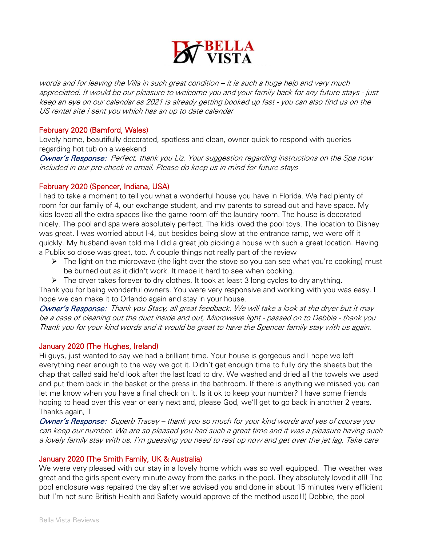

words and for leaving the Villa in such great condition – it is such a huge help and very much appreciated. It would be our pleasure to welcome you and your family back for any future stays - just keep an eye on our calendar as 2021 is already getting booked up fast - you can also find us on the US rental site I sent you which has an up to date calendar

## February 2020 (Bamford, Wales)

Lovely home, beautifully decorated, spotless and clean, owner quick to respond with queries regarding hot tub on a weekend

Owner's Response: Perfect, thank you Liz. Your suggestion regarding instructions on the Spa now included in our pre-check in email. Please do keep us in mind for future stays

## February 2020 (Spencer, Indiana, USA)

I had to take a moment to tell you what a wonderful house you have in Florida. We had plenty of room for our family of 4, our exchange student, and my parents to spread out and have space. My kids loved all the extra spaces like the game room off the laundry room. The house is decorated nicely. The pool and spa were absolutely perfect. The kids loved the pool toys. The location to Disney was great. I was worried about I-4, but besides being slow at the entrance ramp, we were off it quickly. My husband even told me I did a great job picking a house with such a great location. Having a Publix so close was great, too. A couple things not really part of the review

- ➢ The light on the microwave (the light over the stove so you can see what you're cooking) must be burned out as it didn't work. It made it hard to see when cooking.
- $\triangleright$  The dryer takes forever to dry clothes. It took at least 3 long cycles to dry anything.

Thank you for being wonderful owners. You were very responsive and working with you was easy. I hope we can make it to Orlando again and stay in your house.

Owner's Response: Thank you Stacy, all great feedback. We will take a look at the dryer but it may be a case of cleaning out the duct inside and out, Microwave light - passed on to Debbie - thank you Thank you for your kind words and it would be great to have the Spencer family stay with us again.

## January 2020 (The Hughes, Ireland)

Hi guys, just wanted to say we had a brilliant time. Your house is gorgeous and I hope we left everything near enough to the way we got it. Didn't get enough time to fully dry the sheets but the chap that called said he'd look after the last load to dry. We washed and dried all the towels we used and put them back in the basket or the press in the bathroom. If there is anything we missed you can let me know when you have a final check on it. Is it ok to keep your number? I have some friends hoping to head over this year or early next and, please God, we'll get to go back in another 2 years. Thanks again, T

Owner's Response: Superb Tracey – thank you so much for your kind words and yes of course you can keep our number. We are so pleased you had such a great time and it was a pleasure having such a lovely family stay with us. I'm guessing you need to rest up now and get over the jet lag. Take care

## January 2020 (The Smith Family, UK & Australia)

We were very pleased with our stay in a lovely home which was so well equipped. The weather was great and the girls spent every minute away from the parks in the pool. They absolutely loved it all! The pool enclosure was repaired the day after we advised you and done in about 15 minutes (very efficient but I'm not sure British Health and Safety would approve of the method used!!) Debbie, the pool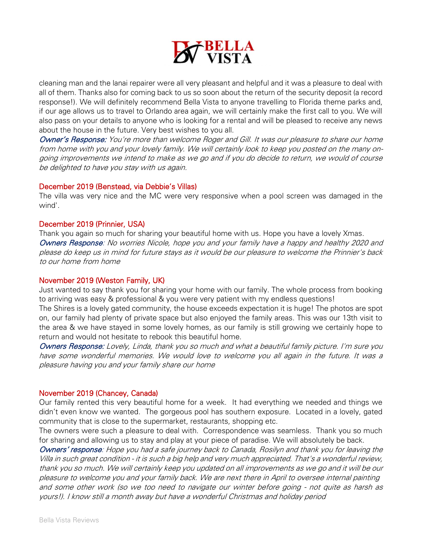

cleaning man and the lanai repairer were all very pleasant and helpful and it was a pleasure to deal with all of them. Thanks also for coming back to us so soon about the return of the security deposit (a record response!). We will definitely recommend Bella Vista to anyone travelling to Florida theme parks and, if our age allows us to travel to Orlando area again, we will certainly make the first call to you. We will also pass on your details to anyone who is looking for a rental and will be pleased to receive any news about the house in the future. Very best wishes to you all.

Owner's Response: You're more than welcome Roger and Gill. It was our pleasure to share our home from home with you and your lovely family. We will certainly look to keep you posted on the many ongoing improvements we intend to make as we go and if you do decide to return, we would of course be delighted to have you stay with us again.

#### December 2019 (Benstead, via Debbie's Villas)

The villa was very nice and the MC were very responsive when a pool screen was damaged in the wind'.

#### December 2019 (Prinnier, USA)

Thank you again so much for sharing your beautiful home with us. Hope you have a lovely Xmas. Owners Response: No worries Nicole, hope you and your family have a happy and healthy 2020 and please do keep us in mind for future stays as it would be our pleasure to welcome the Prinnier's back to our home from home

## November 2019 (Weston Family, UK)

Just wanted to say thank you for sharing your home with our family. The whole process from booking to arriving was easy & professional & you were very patient with my endless questions!

The Shires is a lovely gated community, the house exceeds expectation it is huge! The photos are spot on, our family had plenty of private space but also enjoyed the family areas. This was our 13th visit to the area & we have stayed in some lovely homes, as our family is still growing we certainly hope to return and would not hesitate to rebook this beautiful home.

Owners Response: Lovely, Linda, thank you so much and what a beautiful family picture. I'm sure you have some wonderful memories. We would love to welcome you all again in the future. It was a pleasure having you and your family share our home

#### November 2019 (Chancey, Canada)

Our family rented this very beautiful home for a week. It had everything we needed and things we didn't even know we wanted. The gorgeous pool has southern exposure. Located in a lovely, gated community that is close to the supermarket, restaurants, shopping etc.

The owners were such a pleasure to deal with. Correspondence was seamless. Thank you so much for sharing and allowing us to stay and play at your piece of paradise. We will absolutely be back.

Owners' response: Hope you had a safe journey back to Canada, Rosilyn and thank you for leaving the Villa in such great condition - it is such a big help and very much appreciated. That's a wonderful review, thank you so much. We will certainly keep you updated on all improvements as we go and it will be our pleasure to welcome you and your family back. We are next there in April to oversee internal painting and some other work (so we too need to navigate our winter before going - not quite as harsh as yours!). I know still a month away but have a wonderful Christmas and holiday period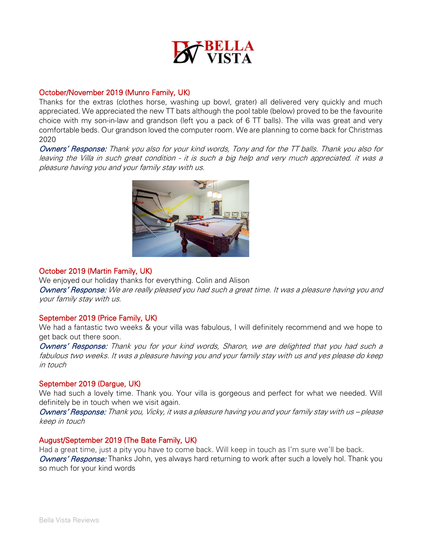

#### October/November 2019 (Munro Family, UK)

Thanks for the extras (clothes horse, washing up bowl, grater) all delivered very quickly and much appreciated. We appreciated the new TT bats although the pool table (below) proved to be the favourite choice with my son-in-law and grandson (left you a pack of 6 TT balls). The villa was great and very comfortable beds. Our grandson loved the computer room. We are planning to come back for Christmas 2020

Owners' Response: Thank you also for your kind words, Tony and for the TT balls. Thank you also for leaving the Villa in such great condition - it is such a big help and very much appreciated. it was a pleasure having you and your family stay with us.



#### October 2019 (Martin Family, UK)

We enjoyed our holiday thanks for everything. Colin and Alison

Owners' Response: We are really pleased you had such a great time. It was a pleasure having you and your family stay with us.

## September 2019 (Price Family, UK)

We had a fantastic two weeks & your villa was fabulous, I will definitely recommend and we hope to get back out there soon.

Owners' Response: Thank you for your kind words, Sharon, we are delighted that you had such a fabulous two weeks. It was a pleasure having you and your family stay with us and yes please do keep in touch

#### September 2019 (Dargue, UK)

We had such a lovely time. Thank you. Your villa is gorgeous and perfect for what we needed. Will definitely be in touch when we visit again.

Owners' Response: Thank you, Vicky, it was a pleasure having you and your family stay with us – please keep in touch

#### August/September 2019 (The Bate Family, UK)

Had a great time, just a pity you have to come back. Will keep in touch as I'm sure we'll be back. Owners' Response: Thanks John, yes always hard returning to work after such a lovely hol. Thank you so much for your kind words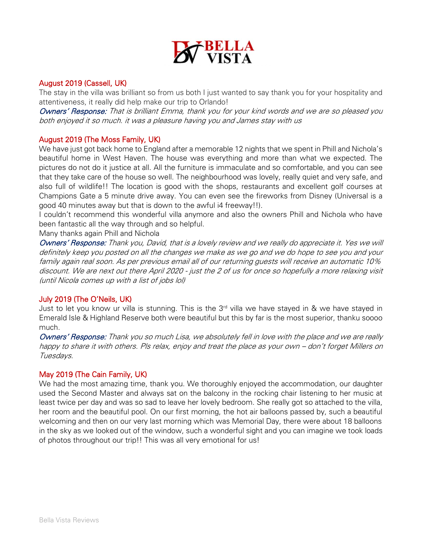

## August 2019 (Cassell, UK)

The stay in the villa was brilliant so from us both I just wanted to say thank you for your hospitality and attentiveness, it really did help make our trip to Orlando!

Owners' Response: That is brilliant Emma, thank you for your kind words and we are so pleased you both enjoyed it so much. it was a pleasure having you and James stay with us

## August 2019 (The Moss Family, UK)

We have just got back home to England after a memorable 12 nights that we spent in Phill and Nichola's beautiful home in West Haven. The house was everything and more than what we expected. The pictures do not do it justice at all. All the furniture is immaculate and so comfortable, and you can see that they take care of the house so well. The neighbourhood was lovely, really quiet and very safe, and also full of wildlife!! The location is good with the shops, restaurants and excellent golf courses at Champions Gate a 5 minute drive away. You can even see the fireworks from Disney (Universal is a good 40 minutes away but that is down to the awful i4 freeway!!).

I couldn't recommend this wonderful villa anymore and also the owners Phill and Nichola who have been fantastic all the way through and so helpful.

Many thanks again Phill and Nichola

Owners' Response: Thank you, David, that is a lovely review and we really do appreciate it. Yes we will definitely keep you posted on all the changes we make as we go and we do hope to see you and your family again real soon. As per previous email all of our returning guests will receive an automatic 10% discount. We are next out there April 2020 - just the 2 of us for once so hopefully a more relaxing visit (until Nicola comes up with a list of jobs lol)

## July 2019 (The O'Neils, UK)

Just to let you know ur villa is stunning. This is the  $3<sup>rd</sup>$  villa we have stayed in & we have stayed in Emerald Isle & Highland Reserve both were beautiful but this by far is the most superior, thanku soooo much.

Owners' Response: Thank you so much Lisa, we absolutely fell in love with the place and we are really happy to share it with others. Pls relax, enjoy and treat the place as your own – don't forget Millers on Tuesdays.

## May 2019 (The Cain Family, UK)

We had the most amazing time, thank you. We thoroughly enjoyed the accommodation, our daughter used the Second Master and always sat on the balcony in the rocking chair listening to her music at least twice per day and was so sad to leave her lovely bedroom. She really got so attached to the villa, her room and the beautiful pool. On our first morning, the hot air balloons passed by, such a beautiful welcoming and then on our very last morning which was Memorial Day, there were about 18 balloons in the sky as we looked out of the window, such a wonderful sight and you can imagine we took loads of photos throughout our trip!! This was all very emotional for us!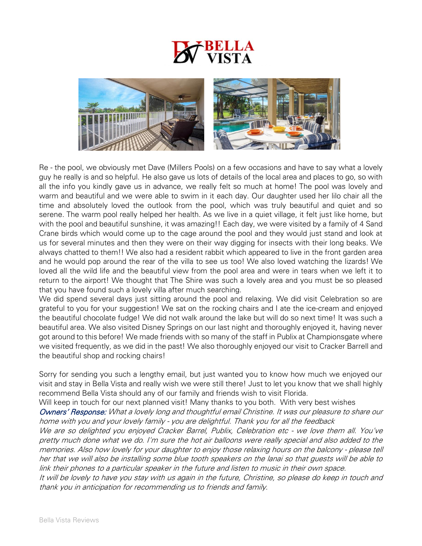

Re - the pool, we obviously met Dave (Millers Pools) on a few occasions and have to say what a lovely guy he really is and so helpful. He also gave us lots of details of the local area and places to go, so with all the info you kindly gave us in advance, we really felt so much at home! The pool was lovely and warm and beautiful and we were able to swim in it each day. Our daughter used her lilo chair all the time and absolutely loved the outlook from the pool, which was truly beautiful and quiet and so serene. The warm pool really helped her health. As we live in a quiet village, it felt just like home, but with the pool and beautiful sunshine, it was amazing!! Each day, we were visited by a family of 4 Sand Crane birds which would come up to the cage around the pool and they would just stand and look at us for several minutes and then they were on their way digging for insects with their long beaks. We always chatted to them!! We also had a resident rabbit which appeared to live in the front garden area and he would pop around the rear of the villa to see us too! We also loved watching the lizards! We loved all the wild life and the beautiful view from the pool area and were in tears when we left it to return to the airport! We thought that The Shire was such a lovely area and you must be so pleased that you have found such a lovely villa after much searching.

We did spend several days just sitting around the pool and relaxing. We did visit Celebration so are grateful to you for your suggestion! We sat on the rocking chairs and I ate the ice-cream and enjoyed the beautiful chocolate fudge! We did not walk around the lake but will do so next time! It was such a beautiful area. We also visited Disney Springs on our last night and thoroughly enjoyed it, having never got around to this before! We made friends with so many of the staff in Publix at Championsgate where we visited frequently, as we did in the past! We also thoroughly enjoyed our visit to Cracker Barrell and the beautiful shop and rocking chairs!

Sorry for sending you such a lengthy email, but just wanted you to know how much we enjoyed our visit and stay in Bella Vista and really wish we were still there! Just to let you know that we shall highly recommend Bella Vista should any of our family and friends wish to visit Florida.

Will keep in touch for our next planned visit! Many thanks to you both. With very best wishes

Owners' Response: What a lovely long and thoughtful email Christine. It was our pleasure to share our home with you and your lovely family - you are delightful. Thank you for all the feedback

We are so delighted you enjoyed Cracker Barrel, Publix, Celebration etc - we love them all. You've pretty much done what we do. I'm sure the hot air balloons were really special and also added to the memories. Also how lovely for your daughter to enjoy those relaxing hours on the balcony - please tell her that we will also be installing some blue tooth speakers on the lanai so that guests will be able to link their phones to a particular speaker in the future and listen to music in their own space.

It will be lovely to have you stay with us again in the future, Christine, so please do keep in touch and thank you in anticipation for recommending us to friends and family.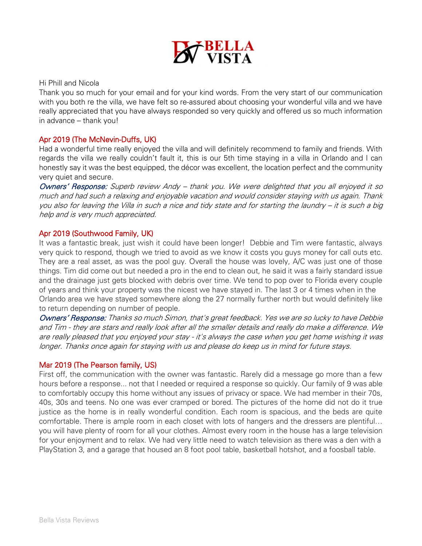

#### Hi Phill and Nicola

Thank you so much for your email and for your kind words. From the very start of our communication with you both re the villa, we have felt so re-assured about choosing your wonderful villa and we have really appreciated that you have always responded so very quickly and offered us so much information in advance – thank you!

## Apr 2019 (The McNevin-Duffs, UK)

Had a wonderful time really enjoyed the villa and will definitely recommend to family and friends. With regards the villa we really couldn't fault it, this is our 5th time staying in a villa in Orlando and I can honestly say it was the best equipped, the décor was excellent, the location perfect and the community very quiet and secure.

Owners' Response: Superb review Andy – thank you. We were delighted that you all enjoyed it so much and had such a relaxing and enjoyable vacation and would consider staying with us again. Thank you also for leaving the Villa in such a nice and tidy state and for starting the laundry – it is such a big help and is very much appreciated.

## Apr 2019 (Southwood Family, UK)

It was a fantastic break, just wish it could have been longer! Debbie and Tim were fantastic, always very quick to respond, though we tried to avoid as we know it costs you guys money for call outs etc. They are a real asset, as was the pool guy. Overall the house was lovely, A/C was just one of those things. Tim did come out but needed a pro in the end to clean out, he said it was a fairly standard issue and the drainage just gets blocked with debris over time. We tend to pop over to Florida every couple of years and think your property was the nicest we have stayed in. The last 3 or 4 times when in the Orlando area we have stayed somewhere along the 27 normally further north but would definitely like to return depending on number of people.

Owners' Response: Thanks so much Simon, that's great feedback. Yes we are so lucky to have Debbie and Tim - they are stars and really look after all the smaller details and really do make a difference. We are really pleased that you enjoyed your stay - it's always the case when you get home wishing it was longer. Thanks once again for staying with us and please do keep us in mind for future stays.

#### Mar 2019 (The Pearson family, US)

First off, the communication with the owner was fantastic. Rarely did a message go more than a few hours before a response... not that I needed or required a response so quickly. Our family of 9 was able to comfortably occupy this home without any issues of privacy or space. We had member in their 70s, 40s, 30s and teens. No one was ever cramped or bored. The pictures of the home did not do it true justice as the home is in really wonderful condition. Each room is spacious, and the beds are quite comfortable. There is ample room in each closet with lots of hangers and the dressers are plentiful… you will have plenty of room for all your clothes. Almost every room in the house has a large television for your enjoyment and to relax. We had very little need to watch television as there was a den with a PlayStation 3, and a garage that housed an 8 foot pool table, basketball hotshot, and a foosball table.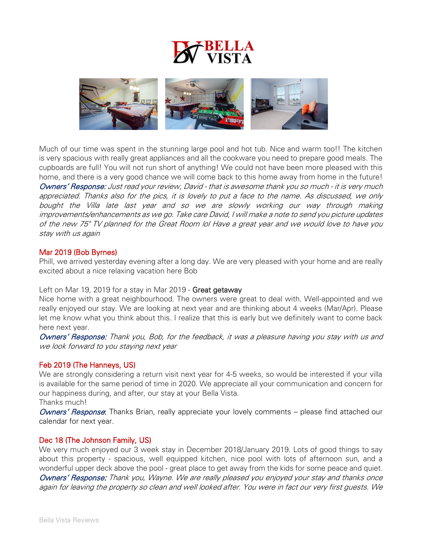



Much of our time was spent in the stunning large pool and hot tub. Nice and warm too!! The kitchen is very spacious with really great appliances and all the cookware you need to prepare good meals. The cupboards are full! You will not run short of anything! We could not have been more pleased with this home, and there is a very good chance we will come back to this home away from home in the future! Owners' Response: Just read your review, David - that is awesome thank you so much - it is very much appreciated. Thanks also for the pics, it is lovely to put a face to the name. As discussed, we only bought the Villa late last year and so we are slowly working our way through making improvements/enhancements as we go. Take care David, I will make a note to send you picture updates of the new 75" TV planned for the Great Room lol Have a great year and we would love to have you stay with us again

#### Mar 2019 (Bob Byrnes)

Phill, we arrived yesterday evening after a long day. We are very pleased with your home and are really excited about a nice relaxing vacation here Bob

Left on Mar 19, 2019 for a stay in Mar 2019 - Great getaway

Nice home with a great neighbourhood. The owners were great to deal with. Well-appointed and we really enjoyed our stay. We are looking at next year and are thinking about 4 weeks (Mar/Apr). Please let me know what you think about this. I realize that this is early but we definitely want to come back here next year.

Owners' Response: Thank you, Bob, for the feedback, it was a pleasure having you stay with us and we look forward to you staying next year

#### Feb 2019 (The Hanneys, US)

We are strongly considering a return visit next year for 4-5 weeks, so would be interested if your villa is available for the same period of time in 2020. We appreciate all your communication and concern for our happiness during, and after, our stay at your Bella Vista.

Thanks much!

Owners' Response: Thanks Brian, really appreciate your lovely comments – please find attached our calendar for next year.

## Dec 18 (The Johnson Family, US)

We very much enjoyed our 3 week stay in December 2018/January 2019. Lots of good things to say about this property - spacious, well equipped kitchen, nice pool with lots of afternoon sun, and a wonderful upper deck above the pool - great place to get away from the kids for some peace and quiet. Owners' Response: Thank you, Wayne. We are really pleased you enjoyed your stay and thanks once again for leaving the property so clean and well looked after. You were in fact our very first guests. We